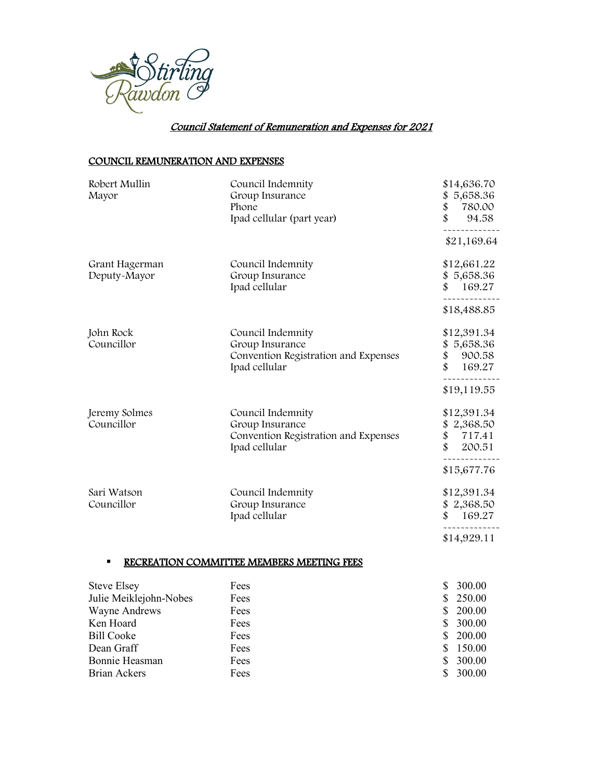

## Council Statement of Remuneration and Expenses for 2021

## COUNCIL REMUNERATION AND EXPENSES

| Robert Mullin<br>Mayor                                                                                                                                               | Council Indemnity<br>Group Insurance<br>Phone<br>Ipad cellular (part year)                    | \$14,636.70<br>\$5,658.36<br>\$<br>780.00<br>\$<br>94.58<br>\$21,169.64                                  |
|----------------------------------------------------------------------------------------------------------------------------------------------------------------------|-----------------------------------------------------------------------------------------------|----------------------------------------------------------------------------------------------------------|
| Grant Hagerman<br>Deputy-Mayor                                                                                                                                       | Council Indemnity<br>Group Insurance<br>Ipad cellular                                         | \$12,661.22<br>\$5,658.36<br>\$<br>169.27<br>-------------                                               |
| John Rock<br>Councillor                                                                                                                                              | Council Indemnity<br>Group Insurance<br>Convention Registration and Expenses<br>Ipad cellular | \$18,488.85<br>\$12,391.34<br>\$5,658.36<br>\$<br>900.58<br>\$<br>169.27<br>-------------                |
| Jeremy Solmes<br>Councillor                                                                                                                                          | Council Indemnity<br>Group Insurance<br>Convention Registration and Expenses<br>Ipad cellular | \$19,119.55<br>\$12,391.34<br>\$2,368.50<br>\$<br>717.41<br>\$<br>200.51                                 |
| Sari Watson<br>Councillor                                                                                                                                            | Council Indemnity<br>Group Insurance<br>Ipad cellular                                         | --------------<br>\$15,677.76<br>\$12,391.34<br>\$2,368.50<br>\$<br>169.27                               |
|                                                                                                                                                                      | RECREATION COMMITTEE MEMBERS MEETING FEES                                                     | --------------<br>\$14,929.11                                                                            |
| <b>Steve Elsey</b><br>Julie Meiklejohn-Nobes<br><b>Wayne Andrews</b><br>Ken Hoard<br><b>Bill Cooke</b><br>Dean Graff<br><b>Bonnie Heasman</b><br><b>Brian Ackers</b> | Fees<br>Fees<br>Fees<br>Fees<br>Fees<br>Fees<br>Fees<br>Fees                                  | 300.00<br>\$<br>\$250.00<br>\$200.00<br>\$300.00<br>\$200.00<br>\$150.00<br>\$<br>300.00<br>\$<br>300.00 |